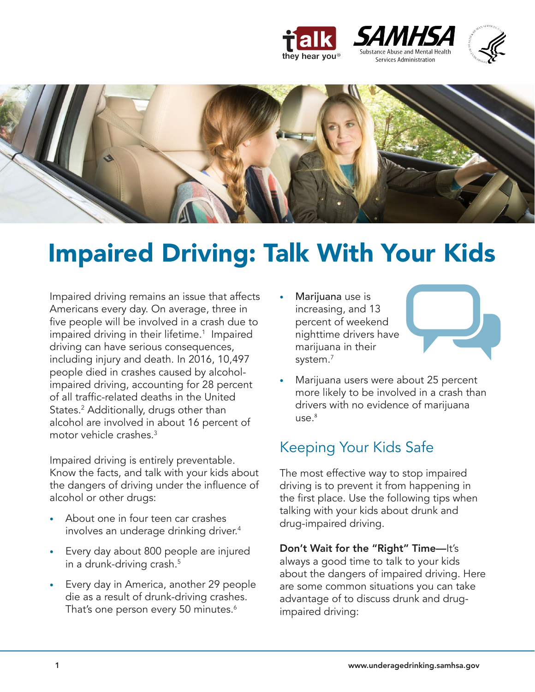



## Impaired Driving: Talk With Your Kids

Impaired driving remains an issue that affects Americans every day. On average, three in five people will be involved in a crash due to impaired driving in their lifetime.<sup>[1](#page-1-0)</sup> Impaired driving can have serious consequences, including injury and death. In 2016, 10,497 people died in crashes caused by alcoholimpaired driving, accounting for 28 percent of all traffic-related deaths in the United States.[2](#page-1-0) Additionally, drugs other than alcohol are involved in about 16 percent of motor vehicle crashes.[3](#page-1-0)

Impaired driving is entirely preventable. Know the facts, and talk with your kids about the dangers of driving under the influence of alcohol or other drugs:

- About one in four teen car crashes involves an underage drinking driver[.4](#page-1-0)
- Every day about 800 people are injured in a drunk-driving crash.[5](#page-1-0)
- Every day in America, another 29 people die as a result of drunk-driving crashes. That's one person every 50 minutes.<sup>6</sup>

Marijuana use is increasing, and 13 percent of weekend nighttime drivers have marijuana in their system.<sup>[7](#page-1-0)</sup>



Marijuana users were about 25 percent more likely to be involved in a crash than drivers with no evidence of marijuana  $use.<sup>8</sup>$  $use.<sup>8</sup>$  $use.<sup>8</sup>$ 

## Keeping Your Kids Safe

The most effective way to stop impaired driving is to prevent it from happening in the first place. Use the following tips when talking with your kids about drunk and drug-impaired driving.

Don't Wait for the "Right" Time—It's always a good time to talk to your kids about the dangers of impaired driving. Here are some common situations you can take advantage of to discuss drunk and drugimpaired driving: